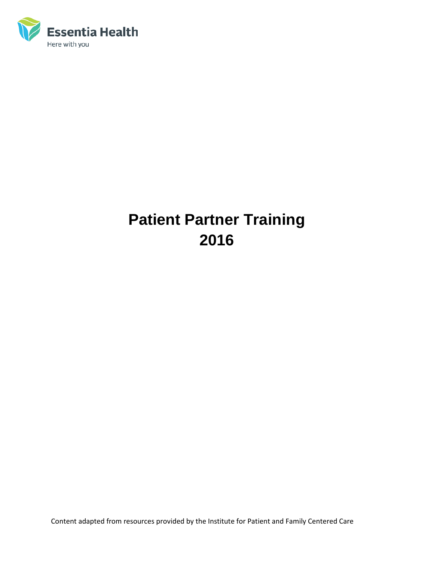

# **Patient Partner Training 2016**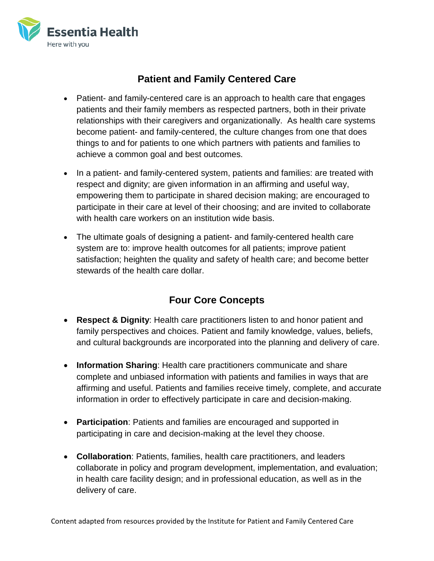

# **Patient and Family Centered Care**

- Patient- and family-centered care is an approach to health care that engages patients and their family members as respected partners, both in their private relationships with their caregivers and organizationally. As health care systems become patient- and family-centered, the culture changes from one that does things to and for patients to one which partners with patients and families to achieve a common goal and best outcomes.
- In a patient- and family-centered system, patients and families: are treated with respect and dignity; are given information in an affirming and useful way, empowering them to participate in shared decision making; are encouraged to participate in their care at level of their choosing; and are invited to collaborate with health care workers on an institution wide basis.
- The ultimate goals of designing a patient- and family-centered health care system are to: improve health outcomes for all patients; improve patient satisfaction; heighten the quality and safety of health care; and become better stewards of the health care dollar.

## **Four Core Concepts**

- **Respect & Dignity**: Health care practitioners listen to and honor patient and family perspectives and choices. Patient and family knowledge, values, beliefs, and cultural backgrounds are incorporated into the planning and delivery of care.
- **Information Sharing**: Health care practitioners communicate and share complete and unbiased information with patients and families in ways that are affirming and useful. Patients and families receive timely, complete, and accurate information in order to effectively participate in care and decision-making.
- **Participation**: Patients and families are encouraged and supported in participating in care and decision-making at the level they choose.
- **Collaboration**: Patients, families, health care practitioners, and leaders collaborate in policy and program development, implementation, and evaluation; in health care facility design; and in professional education, as well as in the delivery of care.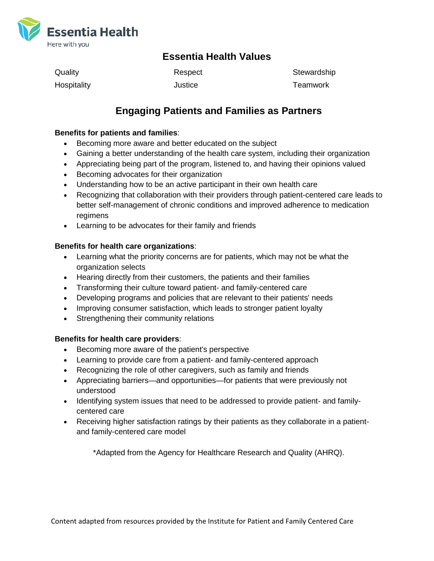

### **Essentia Health Values**

| Quality     | Respect | Stewardship |
|-------------|---------|-------------|
| Hospitality | Justice | Teamwork    |

### **Engaging Patients and Families as Partners**

#### **Benefits for patients and families**:

- Becoming more aware and better educated on the subject
- Gaining a better understanding of the health care system, including their organization
- Appreciating being part of the program, listened to, and having their opinions valued
- Becoming advocates for their organization
- Understanding how to be an active participant in their own health care
- Recognizing that collaboration with their providers through patient-centered care leads to better self-management of chronic conditions and improved adherence to medication regimens
- Learning to be advocates for their family and friends

#### **Benefits for health care organizations**:

- Learning what the priority concerns are for patients, which may not be what the organization selects
- Hearing directly from their customers, the patients and their families
- Transforming their culture toward patient- and family-centered care
- Developing programs and policies that are relevant to their patients' needs
- Improving consumer satisfaction, which leads to stronger patient loyalty
- Strengthening their community relations

#### **Benefits for health care providers**:

- Becoming more aware of the patient's perspective
- Learning to provide care from a patient- and family-centered approach
- Recognizing the role of other caregivers, such as family and friends
- Appreciating barriers—and opportunities—for patients that were previously not understood
- Identifying system issues that need to be addressed to provide patient- and familycentered care
- Receiving higher satisfaction ratings by their patients as they collaborate in a patientand family-centered care model

\*Adapted from the Agency for Healthcare Research and Quality (AHRQ).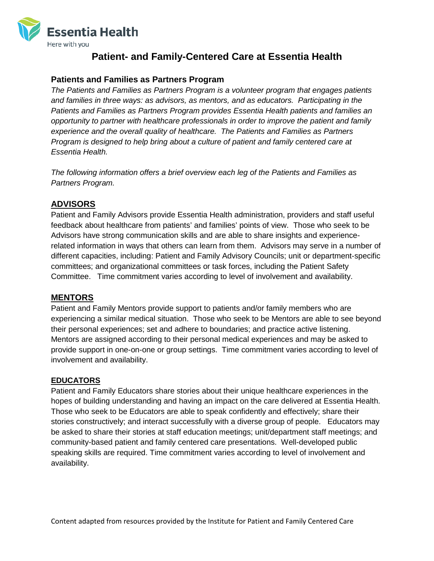

### **Patient- and Family-Centered Care at Essentia Health**

### **Patients and Families as Partners Program**

*The Patients and Families as Partners Program is a volunteer program that engages patients and families in three ways: as advisors, as mentors, and as educators. Participating in the Patients and Families as Partners Program provides Essentia Health patients and families an opportunity to partner with healthcare professionals in order to improve the patient and family experience and the overall quality of healthcare. The Patients and Families as Partners Program is designed to help bring about a culture of patient and family centered care at Essentia Health.*

*The following information offers a brief overview each leg of the Patients and Families as Partners Program.*

### **ADVISORS**

Patient and Family Advisors provide Essentia Health administration, providers and staff useful feedback about healthcare from patients' and families' points of view. Those who seek to be Advisors have strong communication skills and are able to share insights and experiencerelated information in ways that others can learn from them. Advisors may serve in a number of different capacities, including: Patient and Family Advisory Councils; unit or department-specific committees; and organizational committees or task forces, including the Patient Safety Committee. Time commitment varies according to level of involvement and availability.

### **MENTORS**

Patient and Family Mentors provide support to patients and/or family members who are experiencing a similar medical situation. Those who seek to be Mentors are able to see beyond their personal experiences; set and adhere to boundaries; and practice active listening. Mentors are assigned according to their personal medical experiences and may be asked to provide support in one-on-one or group settings. Time commitment varies according to level of involvement and availability.

### **EDUCATORS**

Patient and Family Educators share stories about their unique healthcare experiences in the hopes of building understanding and having an impact on the care delivered at Essentia Health. Those who seek to be Educators are able to speak confidently and effectively; share their stories constructively; and interact successfully with a diverse group of people. Educators may be asked to share their stories at staff education meetings; unit/department staff meetings; and community-based patient and family centered care presentations. Well-developed public speaking skills are required. Time commitment varies according to level of involvement and availability.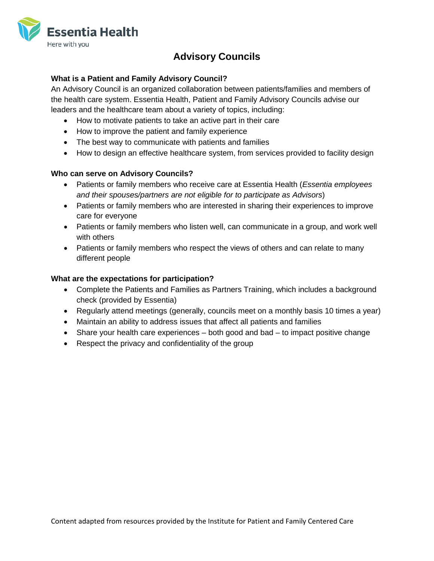

# **Advisory Councils**

### **What is a Patient and Family Advisory Council?**

An Advisory Council is an organized collaboration between patients/families and members of the health care system. Essentia Health, Patient and Family Advisory Councils advise our leaders and the healthcare team about a variety of topics, including:

- How to motivate patients to take an active part in their care
- How to improve the patient and family experience
- The best way to communicate with patients and families
- How to design an effective healthcare system, from services provided to facility design

#### **Who can serve on Advisory Councils?**

- Patients or family members who receive care at Essentia Health (*Essentia employees and their spouses/partners are not eligible for to participate as Advisors*)
- Patients or family members who are interested in sharing their experiences to improve care for everyone
- Patients or family members who listen well, can communicate in a group, and work well with others
- Patients or family members who respect the views of others and can relate to many different people

#### **What are the expectations for participation?**

- Complete the Patients and Families as Partners Training, which includes a background check (provided by Essentia)
- Regularly attend meetings (generally, councils meet on a monthly basis 10 times a year)
- Maintain an ability to address issues that affect all patients and families
- Share your health care experiences both good and bad to impact positive change
- Respect the privacy and confidentiality of the group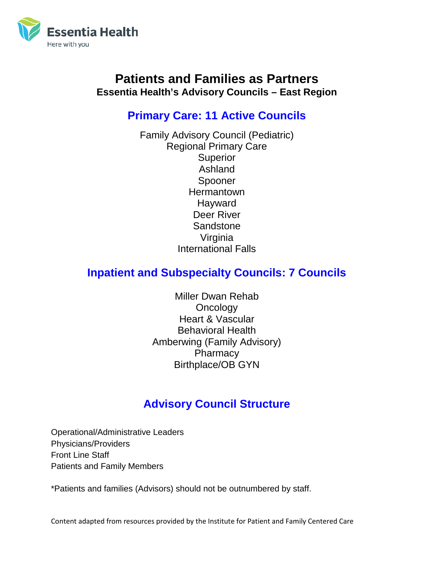

# **Patients and Families as Partners Essentia Health's Advisory Councils – East Region**

# **Primary Care: 11 Active Councils**

Family Advisory Council (Pediatric) Regional Primary Care **Superior** Ashland Spooner **Hermantown Hayward** Deer River **Sandstone** Virginia International Falls

# **Inpatient and Subspecialty Councils: 7 Councils**

Miller Dwan Rehab **Oncology** Heart & Vascular Behavioral Health Amberwing (Family Advisory) **Pharmacy** Birthplace/OB GYN

# **Advisory Council Structure**

Operational/Administrative Leaders Physicians/Providers Front Line Staff Patients and Family Members

\*Patients and families (Advisors) should not be outnumbered by staff.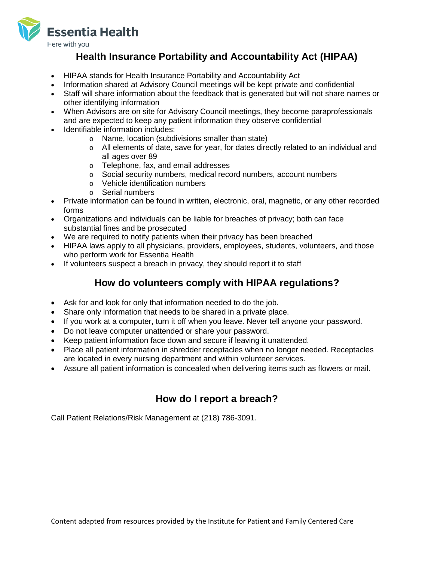

### **Health Insurance Portability and Accountability Act (HIPAA)**

- HIPAA stands for Health Insurance Portability and Accountability Act
- Information shared at Advisory Council meetings will be kept private and confidential
- Staff will share information about the feedback that is generated but will not share names or other identifying information
- When Advisors are on site for Advisory Council meetings, they become paraprofessionals and are expected to keep any patient information they observe confidential
- Identifiable information includes:
	- o Name, location (subdivisions smaller than state)
	- $\circ$  All elements of date, save for year, for dates directly related to an individual and all ages over 89
	- o Telephone, fax, and email addresses
	- o Social security numbers, medical record numbers, account numbers
	- o Vehicle identification numbers
	- o Serial numbers
- Private information can be found in written, electronic, oral, magnetic, or any other recorded forms
- Organizations and individuals can be liable for breaches of privacy; both can face substantial fines and be prosecuted
- We are required to notify patients when their privacy has been breached
- HIPAA laws apply to all physicians, providers, employees, students, volunteers, and those who perform work for Essentia Health
- If volunteers suspect a breach in privacy, they should report it to staff

### **How do volunteers comply with HIPAA regulations?**

- Ask for and look for only that information needed to do the job.
- Share only information that needs to be shared in a private place.
- If you work at a computer, turn it off when you leave. Never tell anyone your password.
- Do not leave computer unattended or share your password.
- Keep patient information face down and secure if leaving it unattended.
- Place all patient information in shredder receptacles when no longer needed. Receptacles are located in every nursing department and within volunteer services.
- Assure all patient information is concealed when delivering items such as flowers or mail.

## **How do I report a breach?**

Call Patient Relations/Risk Management at (218) 786-3091.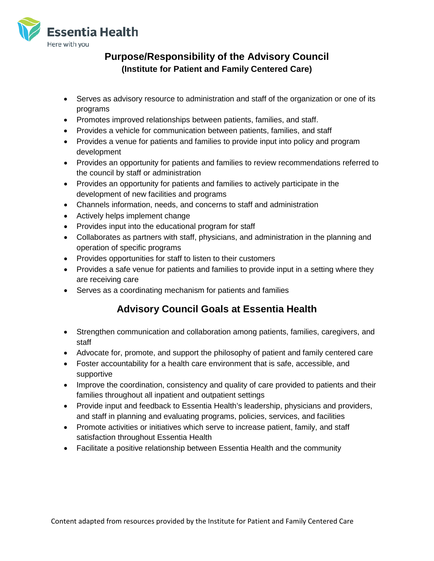

### **Purpose/Responsibility of the Advisory Council (Institute for Patient and Family Centered Care)**

- Serves as advisory resource to administration and staff of the organization or one of its programs
- Promotes improved relationships between patients, families, and staff.
- Provides a vehicle for communication between patients, families, and staff
- Provides a venue for patients and families to provide input into policy and program development
- Provides an opportunity for patients and families to review recommendations referred to the council by staff or administration
- Provides an opportunity for patients and families to actively participate in the development of new facilities and programs
- Channels information, needs, and concerns to staff and administration
- Actively helps implement change
- Provides input into the educational program for staff
- Collaborates as partners with staff, physicians, and administration in the planning and operation of specific programs
- Provides opportunities for staff to listen to their customers
- Provides a safe venue for patients and families to provide input in a setting where they are receiving care
- Serves as a coordinating mechanism for patients and families

# **Advisory Council Goals at Essentia Health**

- Strengthen communication and collaboration among patients, families, caregivers, and staff
- Advocate for, promote, and support the philosophy of patient and family centered care
- Foster accountability for a health care environment that is safe, accessible, and supportive
- Improve the coordination, consistency and quality of care provided to patients and their families throughout all inpatient and outpatient settings
- Provide input and feedback to Essentia Health's leadership, physicians and providers, and staff in planning and evaluating programs, policies, services, and facilities
- Promote activities or initiatives which serve to increase patient, family, and staff satisfaction throughout Essentia Health
- Facilitate a positive relationship between Essentia Health and the community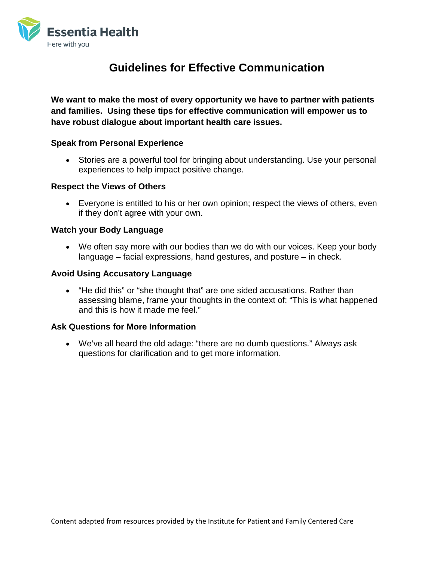

# **Guidelines for Effective Communication**

**We want to make the most of every opportunity we have to partner with patients and families. Using these tips for effective communication will empower us to have robust dialogue about important health care issues.**

### **Speak from Personal Experience**

• Stories are a powerful tool for bringing about understanding. Use your personal experiences to help impact positive change.

### **Respect the Views of Others**

• Everyone is entitled to his or her own opinion; respect the views of others, even if they don't agree with your own.

### **Watch your Body Language**

• We often say more with our bodies than we do with our voices. Keep your body language – facial expressions, hand gestures, and posture – in check.

### **Avoid Using Accusatory Language**

• "He did this" or "she thought that" are one sided accusations. Rather than assessing blame, frame your thoughts in the context of: "This is what happened and this is how it made me feel."

#### **Ask Questions for More Information**

• We've all heard the old adage: "there are no dumb questions." Always ask questions for clarification and to get more information.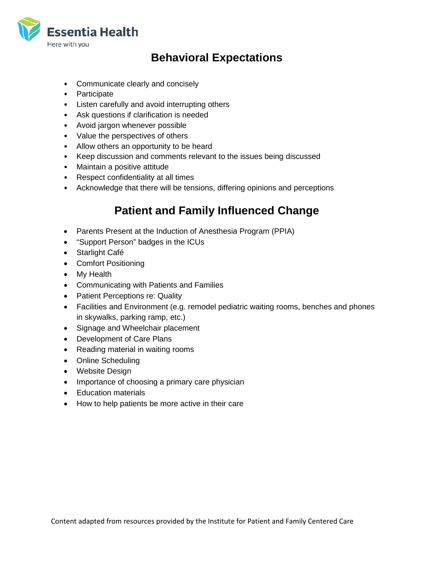

# **Behavioral Expectations**

- Communicate clearly and concisely
- Participate
- Listen carefully and avoid interrupting others
- Ask questions if clarification is needed
- Avoid jargon whenever possible
- Value the perspectives of others
- Allow others an opportunity to be heard
- Keep discussion and comments relevant to the issues being discussed
- Maintain a positive attitude
- Respect confidentiality at all times
- Acknowledge that there will be tensions, differing opinions and perceptions

# **Patient and Family Influenced Change**

- Parents Present at the Induction of Anesthesia Program (PPIA)
- "Support Person" badges in the ICUs
- Starlight Café
- Comfort Positioning
- My Health
- Communicating with Patients and Families
- Patient Perceptions re: Quality
- Facilities and Environment (e.g. remodel pediatric waiting rooms, benches and phones in skywalks, parking ramp, etc.)
- Signage and Wheelchair placement
- Development of Care Plans
- Reading material in waiting rooms
- Online Scheduling
- Website Design
- Importance of choosing a primary care physician
- Education materials
- How to help patients be more active in their care